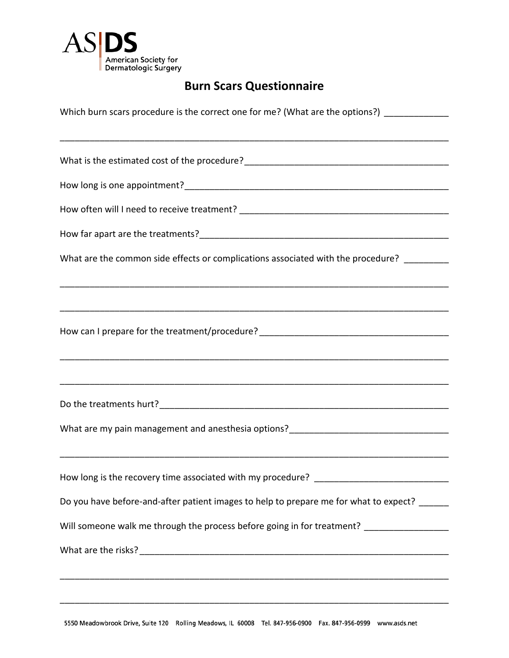

## **Burn Scars Questionnaire**

| Which burn scars procedure is the correct one for me? (What are the options?) ______________ |  |  |
|----------------------------------------------------------------------------------------------|--|--|
|                                                                                              |  |  |
|                                                                                              |  |  |
|                                                                                              |  |  |
|                                                                                              |  |  |
|                                                                                              |  |  |
| What are the common side effects or complications associated with the procedure? _______     |  |  |
|                                                                                              |  |  |
|                                                                                              |  |  |
| How can I prepare for the treatment/procedure? __________________________________            |  |  |
|                                                                                              |  |  |
|                                                                                              |  |  |
|                                                                                              |  |  |
| What are my pain management and anesthesia options?______________________________            |  |  |
|                                                                                              |  |  |
| How long is the recovery time associated with my procedure? ___________________________      |  |  |
| Do you have before-and-after patient images to help to prepare me for what to expect? ______ |  |  |
| Will someone walk me through the process before going in for treatment? ________________     |  |  |
|                                                                                              |  |  |
|                                                                                              |  |  |

\_\_\_\_\_\_\_\_\_\_\_\_\_\_\_\_\_\_\_\_\_\_\_\_\_\_\_\_\_\_\_\_\_\_\_\_\_\_\_\_\_\_\_\_\_\_\_\_\_\_\_\_\_\_\_\_\_\_\_\_\_\_\_\_\_\_\_\_\_\_\_\_\_\_\_\_\_\_